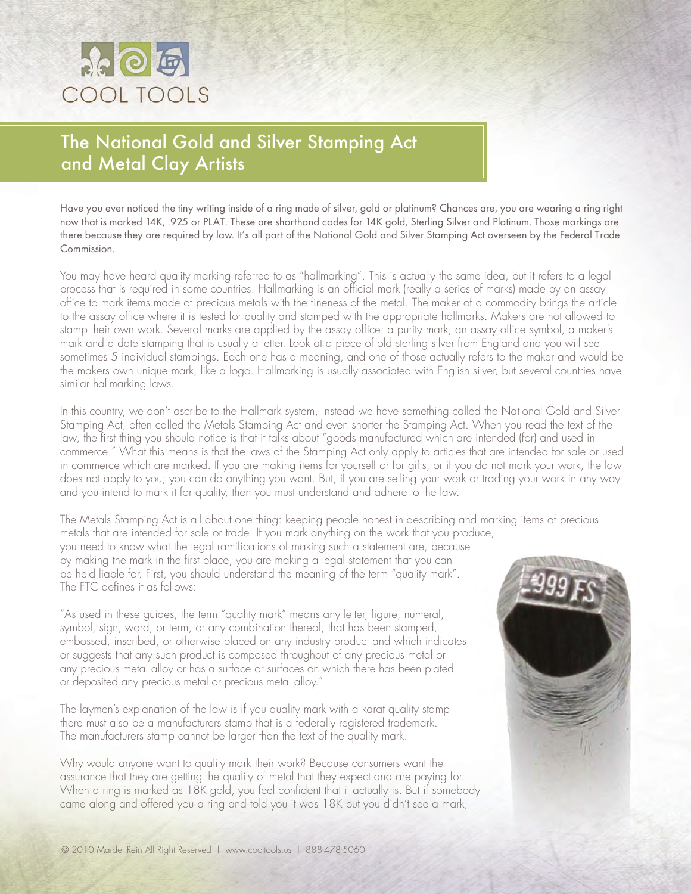## **Seleig** COOL TOOLS

## The National Gold and Silver Stamping Act and Metal Clay Artists

Have you ever noticed the tiny writing inside of a ring made of silver, gold or platinum? Chances are, you are wearing a ring right now that is marked 14K, .925 or PLAT. These are shorthand codes for 14K gold, Sterling Silver and Platinum. Those markings are there because they are required by law. It's all part of the National Gold and Silver Stamping Act overseen by the Federal Trade Commission.

You may have heard quality marking referred to as "hallmarking". This is actually the same idea, but it refers to a legal process that is required in some countries. Hallmarking is an official mark (really a series of marks) made by an assay office to mark items made of precious metals with the fineness of the metal. The maker of a commodity brings the article to the assay office where it is tested for quality and stamped with the appropriate hallmarks. Makers are not allowed to stamp their own work. Several marks are applied by the assay office: a purity mark, an assay office symbol, a maker's mark and a date stamping that is usually a letter. Look at a piece of old sterling silver from England and you will see sometimes 5 individual stampings. Each one has a meaning, and one of those actually refers to the maker and would be the makers own unique mark, like a logo. Hallmarking is usually associated with English silver, but several countries have similar hallmarking laws.

In this country, we don't ascribe to the Hallmark system, instead we have something called the National Gold and Silver Stamping Act, often called the Metals Stamping Act and even shorter the Stamping Act. When you read the text of the law, the first thing you should notice is that it talks about "goods manufactured which are intended (for) and used in commerce." What this means is that the laws of the Stamping Act only apply to articles that are intended for sale or used in commerce which are marked. If you are making items for yourself or for gifts, or if you do not mark your work, the law does not apply to you; you can do anything you want. But, if you are selling your work or trading your work in any way and you intend to mark it for quality, then you must understand and adhere to the law.

The Metals Stamping Act is all about one thing: keeping people honest in describing and marking items of precious metals that are intended for sale or trade. If you mark anything on the work that you produce,

you need to know what the legal ramifications of making such a statement are, because by making the mark in the first place, you are making a legal statement that you can be held liable for. First, you should understand the meaning of the term "quality mark". The FTC defines it as follows:

"As used in these guides, the term "quality mark" means any letter, figure, numeral, symbol, sign, word, or term, or any combination thereof, that has been stamped, embossed, inscribed, or otherwise placed on any industry product and which indicates or suggests that any such product is composed throughout of any precious metal or any precious metal alloy or has a surface or surfaces on which there has been plated or deposited any precious metal or precious metal alloy."

The laymen's explanation of the law is if you quality mark with a karat quality stamp there must also be a manufacturers stamp that is a federally registered trademark. The manufacturers stamp cannot be larger than the text of the quality mark.

Why would anyone want to quality mark their work? Because consumers want the assurance that they are getting the quality of metal that they expect and are paying for. When a ring is marked as 18K gold, you feel confident that it actually is. But if somebody came along and offered you a ring and told you it was 18K but you didn't see a mark,